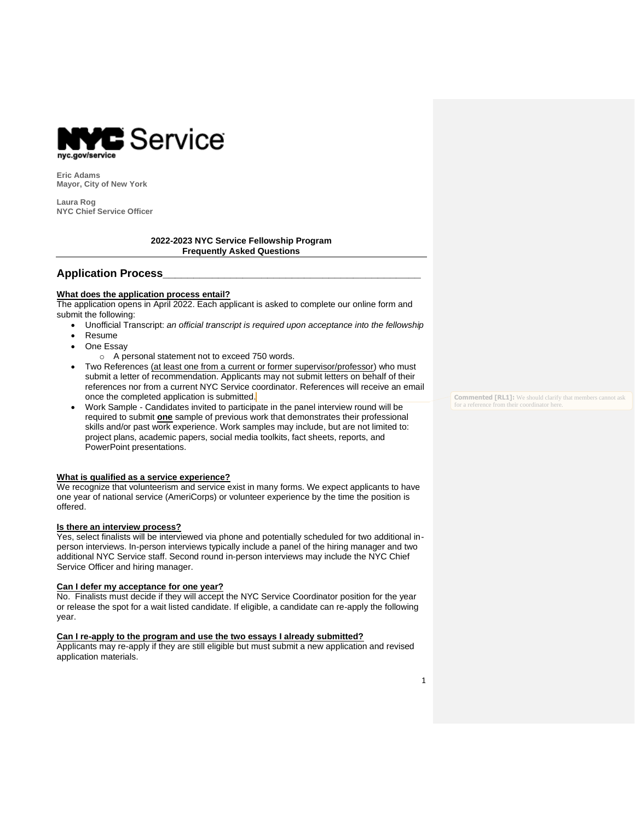

**Eric Adams Mayor, City of New York**

**Laura Rog NYC Chief Service Officer**

### **2022-2023 NYC Service Fellowship Program Frequently Asked Questions**

# **Application Process\_\_\_\_\_\_\_\_\_\_\_\_\_\_\_\_\_\_\_\_\_\_\_\_\_\_\_\_\_\_\_\_\_\_\_\_\_\_\_\_\_\_**

### **What does the application process entail?**

The application opens in April 2022. Each applicant is asked to complete our online form and submit the following:

- Unofficial Transcript: *an official transcript is required upon acceptance into the fellowship*
- Resume
- One Essay
	- o A personal statement not to exceed 750 words.
- Two References (at least one from a current or former supervisor/professor) who must submit a letter of recommendation. Applicants may not submit letters on behalf of their references nor from a current NYC Service coordinator. References will receive an email once the completed application is submitted.
- Work Sample Candidates invited to participate in the panel interview round will be required to submit **one** sample of previous work that demonstrates their professional skills and/or past work experience. Work samples may include, but are not limited to: project plans, academic papers, social media toolkits, fact sheets, reports, and PowerPoint presentations.

### **What is qualified as a service experience?**

We recognize that volunteerism and service exist in many forms. We expect applicants to have one year of national service (AmeriCorps) or volunteer experience by the time the position is offered.

### **Is there an interview process?**

Yes, select finalists will be interviewed via phone and potentially scheduled for two additional inperson interviews. In-person interviews typically include a panel of the hiring manager and two additional NYC Service staff. Second round in-person interviews may include the NYC Chief Service Officer and hiring manager.

### **Can I defer my acceptance for one year?**

No. Finalists must decide if they will accept the NYC Service Coordinator position for the year or release the spot for a wait listed candidate. If eligible, a candidate can re-apply the following year.

#### **Can I re-apply to the program and use the two essays I already submitted?**

Applicants may re-apply if they are still eligible but must submit a new application and revised application materials.

**Commented [RL1]:** We should clarify that members cannot ask for a reference from their coordinator here.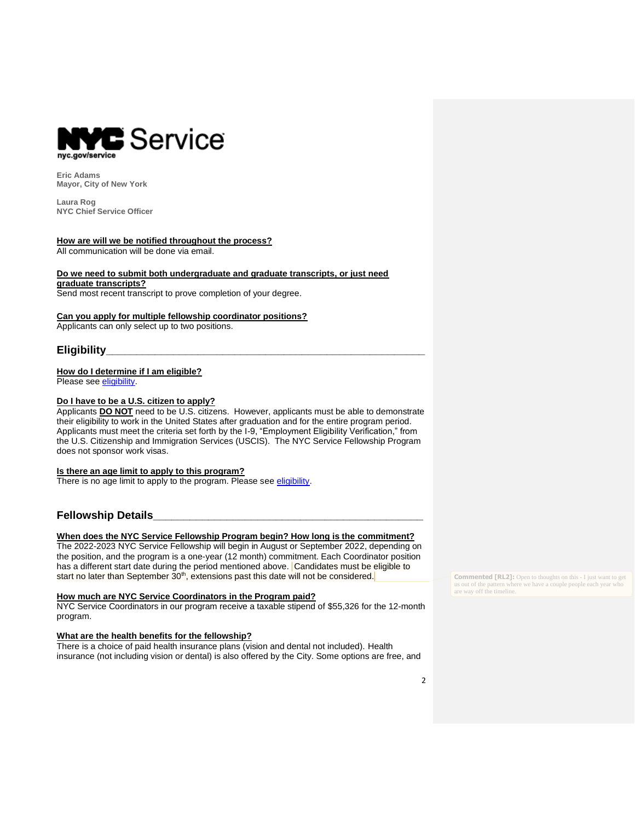

**Eric Adams Mayor, City of New York**

**Laura Rog NYC Chief Service Officer**

#### **How are will we be notified throughout the process?**

All communication will be done via email.

#### **Do we need to submit both undergraduate and graduate transcripts, or just need graduate transcripts?**

Send most recent transcript to prove completion of your degree.

### **Can you apply for multiple fellowship coordinator positions?**

Applicants can only select up to two positions.

# **Eligibility\_\_\_\_\_\_\_\_\_\_\_\_\_\_\_\_\_\_\_\_\_\_\_\_\_\_\_\_\_\_\_\_\_\_\_\_\_\_\_\_\_\_\_\_\_\_\_\_\_\_\_\_**

## **How do I determine if I am eligible?**

Please see [eligibility.](https://mcusercontent.com/e3163e2ee79e21b79cf36982c/files/8ee70066-2c32-a36f-c1a0-6e6763020fbf/2021_2022_NYCSF_Eligibility.pdf)

### **Do I have to be a U.S. citizen to apply?**

Applicants **DO NOT** need to be U.S. citizens. However, applicants must be able to demonstrate their eligibility to work in the United States after graduation and for the entire program period. Applicants must meet the criteria set forth by the I-9, "Employment Eligibility Verification," from the U.S. Citizenship and Immigration Services (USCIS). The NYC Service Fellowship Program does not sponsor work visas.

#### **Is there an age limit to apply to this program?**

There is no age limit to apply to the program. Please see [eligibility.](https://mcusercontent.com/e3163e2ee79e21b79cf36982c/files/8ee70066-2c32-a36f-c1a0-6e6763020fbf/2021_2022_NYCSF_Eligibility.pdf)

# **Fellowship Details\_\_\_\_\_\_\_\_\_\_\_\_\_\_\_\_\_\_\_\_\_\_\_\_\_\_\_\_\_\_\_\_\_\_\_\_\_\_\_\_\_\_\_\_**

# **When does the NYC Service Fellowship Program begin? How long is the commitment?**

The 2022-2023 NYC Service Fellowship will begin in August or September 2022, depending on the position, and the program is a one-year (12 month) commitment. Each Coordinator position has a different start date during the period mentioned above. Candidates must be eligible to start no later than September  $30<sup>th</sup>$ , extensions past this date will not be considered.

#### **How much are NYC Service Coordinators in the Program paid?**

NYC Service Coordinators in our program receive a taxable stipend of \$55,326 for the 12-month program.

#### **What are the health benefits for the fellowship?**

There is a choice of paid health insurance plans (vision and dental not included). Health insurance (not including vision or dental) is also offered by the City. Some options are free, and **Commented [RL2]:** Open to thoughts on this - I just want to get us out of the pattern where we have a couple people each year who are way off the timeline.